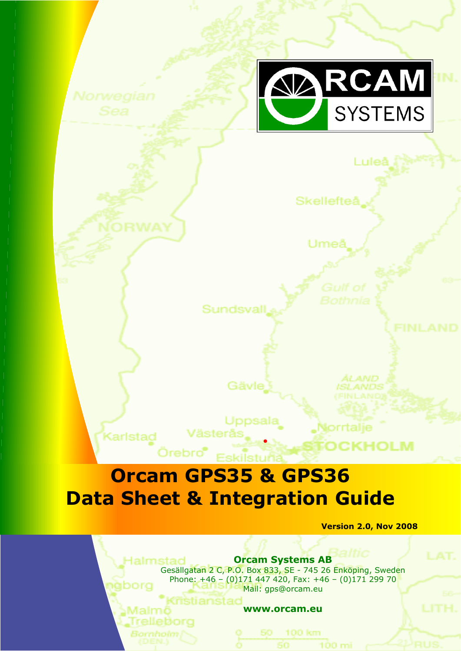

Luleå

Skellefteå

Umeê

Sundsvall

Gävle Uppsala

•

orrtalje

100 mi

ALAND.

## **Orcam GPS35 & GPS36 Data Sheet & Integration Guide**

Västerås

Örebro®

Kristiansta

Malmö

Karlstad

 **Version 2.0, Nov 2008**

CKHOLM

**Orcam Systems AB** Ialmstad Gesällgatan 2 C, P.O. Box 833, SE - 745 26 Enköping, Sweden Phone: +46 - (0)171 447 420, Fax: +46 - (0)171 299 70 iborg Mail: gps@orcam.eu

 $\sim$   $\sim$  35  $\mu$  35  $\mu$  35  $\mu$  35  $\mu$  35  $\mu$   $\sim$  23.1  $\mu$   $\sim$  23.1  $\mu$   $\sim$  23.1  $\mu$   $\sim$  23.1  $\mu$   $\sim$  23.1  $\mu$   $\sim$  23.1  $\mu$   $\sim$  23.1  $\mu$   $\sim$  23.1  $\mu$   $\sim$  23.1  $\mu$   $\sim$  23.1  $\mu$   $\sim$  23.1  $\mu$   $\sim$  2

**www.orcam.eu**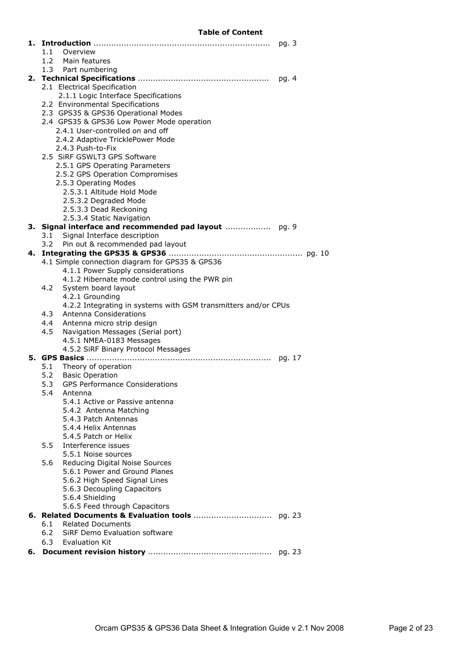#### **Table of Content**

|    | 1.1 | Overview                                                                       |       |
|----|-----|--------------------------------------------------------------------------------|-------|
|    | 1.2 | Main features                                                                  |       |
|    |     | 1.3 Part numbering                                                             |       |
|    |     |                                                                                | pg. 4 |
|    |     | 2.1 Electrical Specification                                                   |       |
|    |     | 2.1.1 Logic Interface Specifications                                           |       |
|    |     | 2.2 Environmental Specifications                                               |       |
|    |     | 2.3 GPS35 & GPS36 Operational Modes                                            |       |
|    |     | 2.4 GPS35 & GPS36 Low Power Mode operation<br>2.4.1 User-controlled on and off |       |
|    |     | 2.4.2 Adaptive TricklePower Mode                                               |       |
|    |     | 2.4.3 Push-to-Fix                                                              |       |
|    |     | 2.5 SiRF GSWLT3 GPS Software                                                   |       |
|    |     | 2.5.1 GPS Operating Parameters                                                 |       |
|    |     | 2.5.2 GPS Operation Compromises                                                |       |
|    |     | 2.5.3 Operating Modes                                                          |       |
|    |     | 2.5.3.1 Altitude Hold Mode                                                     |       |
|    |     | 2.5.3.2 Degraded Mode                                                          |       |
|    |     | 2.5.3.3 Dead Reckoning                                                         |       |
|    |     | 2.5.3.4 Static Navigation                                                      |       |
|    |     |                                                                                |       |
|    | 3.1 | Signal Interface description                                                   |       |
|    | 3.2 | Pin out & recommended pad layout                                               |       |
|    |     |                                                                                |       |
|    |     | 4.1 Simple connection diagram for GPS35 & GPS36                                |       |
|    |     | 4.1.1 Power Supply considerations                                              |       |
|    |     | 4.1.2 Hibernate mode control using the PWR pin                                 |       |
|    | 4.2 | System board layout                                                            |       |
|    |     | 4.2.1 Grounding                                                                |       |
|    |     | 4.2.2 Integrating in systems with GSM transmitters and/or CPUs                 |       |
|    | 4.3 | Antenna Considerations                                                         |       |
|    | 4.4 | Antenna micro strip design                                                     |       |
|    | 4.5 | Navigation Messages (Serial port)                                              |       |
|    |     | 4.5.1 NMEA-0183 Messages                                                       |       |
|    |     | 4.5.2 SiRF Binary Protocol Messages                                            |       |
|    |     |                                                                                |       |
|    | 5.1 | Theory of operation                                                            |       |
|    | 5.2 | <b>Basic Operation</b>                                                         |       |
|    | 5.4 | 5.3 GPS Performance Considerations                                             |       |
|    |     | Antenna<br>5.4.1 Active or Passive antenna                                     |       |
|    |     | 5.4.2 Antenna Matching                                                         |       |
|    |     | 5.4.3 Patch Antennas                                                           |       |
|    |     | 5.4.4 Helix Antennas                                                           |       |
|    |     | 5.4.5 Patch or Helix                                                           |       |
|    | 5.5 | Interference issues                                                            |       |
|    |     | 5.5.1 Noise sources                                                            |       |
|    | 5.6 | Reducing Digital Noise Sources                                                 |       |
|    |     | 5.6.1 Power and Ground Planes                                                  |       |
|    |     | 5.6.2 High Speed Signal Lines                                                  |       |
|    |     | 5.6.3 Decoupling Capacitors                                                    |       |
|    |     | 5.6.4 Shielding                                                                |       |
|    |     | 5.6.5 Feed through Capacitors                                                  |       |
|    |     |                                                                                |       |
|    | 6.1 | <b>Related Documents</b>                                                       |       |
|    | 6.2 | SiRF Demo Evaluation software                                                  |       |
|    | 6.3 | <b>Evaluation Kit</b>                                                          |       |
| 6. |     |                                                                                |       |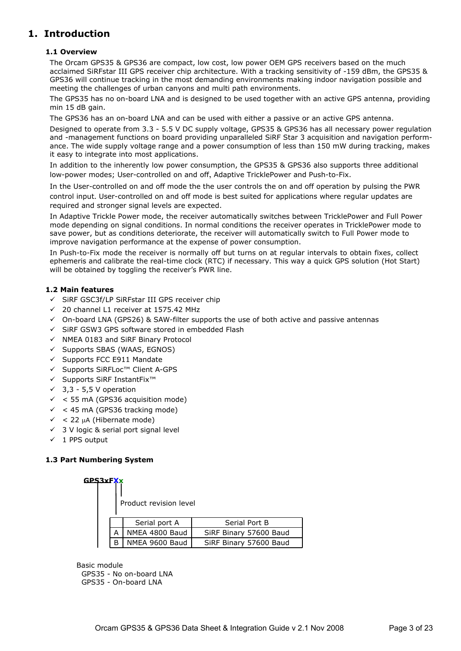## **1. Introduction**

#### **1.1 Overview**

The Orcam GPS35 & GPS36 are compact, low cost, low power OEM GPS receivers based on the much acclaimed SiRFstar III GPS receiver chip architecture. With a tracking sensitivity of -159 dBm, the GPS35 & GPS36 will continue tracking in the most demanding environments making indoor navigation possible and meeting the challenges of urban canyons and multi path environments.

The GPS35 has no on-board LNA and is designed to be used together with an active GPS antenna, providing min 15 dB gain.

The GPS36 has an on-board LNA and can be used with either a passive or an active GPS antenna.

Designed to operate from 3.3 - 5.5 V DC supply voltage, GPS35 & GPS36 has all necessary power regulation and -management functions on board providing unparalleled SiRF Star 3 acquisition and navigation performance. The wide supply voltage range and a power consumption of less than 150 mW during tracking, makes it easy to integrate into most applications.

In addition to the inherently low power consumption, the GPS35 & GPS36 also supports three additional low-power modes; User-controlled on and off, Adaptive TricklePower and Push-to-Fix.

In the User-controlled on and off mode the the user controls the on and off operation by pulsing the PWR control input. User-controlled on and off mode is best suited for applications where regular updates are required and stronger signal levels are expected.

In Adaptive Trickle Power mode, the receiver automatically switches between TricklePower and Full Power mode depending on signal conditions. In normal conditions the receiver operates in TricklePower mode to save power, but as conditions deteriorate, the receiver will automatically switch to Full Power mode to improve navigation performance at the expense of power consumption.

In Push-to-Fix mode the receiver is normally off but turns on at regular intervals to obtain fixes, collect ephemeris and calibrate the real-time clock (RTC) if necessary. This way a quick GPS solution (Hot Start) will be obtained by toggling the receiver's PWR line.

#### **1.2 Main features**

- $\checkmark$  SiRF GSC3f/LP SiRFstar III GPS receiver chip
- $\checkmark$  20 channel L1 receiver at 1575.42 MHz
- $\checkmark$  On-board LNA (GPS26) & SAW-filter supports the use of both active and passive antennas
- $\checkmark$  SiRF GSW3 GPS software stored in embedded Flash
- $\checkmark$  NMEA 0183 and SiRF Binary Protocol
- $\checkmark$  Supports SBAS (WAAS, EGNOS)
- $\checkmark$  Supports FCC E911 Mandate
- ¸ Supports SiRFLoc™ Client A-GPS
- ¸ Supports SiRF InstantFix™
- $\checkmark$  3,3 5,5 V operation
- $\checkmark$  < 55 mA (GPS36 acquisition mode)
- $\checkmark$  < 45 mA (GPS36 tracking mode)
- $\checkmark$  < 22 µA (Hibernate mode)
- $\checkmark$  3 V logic & serial port signal level
- $\checkmark$  1 PPS output

#### **1.3 Part Numbering System**

| <b>GPS3xFXx</b> |   | Product revision level |                        |
|-----------------|---|------------------------|------------------------|
|                 |   | Serial port A          | Serial Port B          |
|                 |   | NMEA 4800 Baud         | SiRF Binary 57600 Baud |
|                 | R | NMEA 9600 Baud         | SiRF Binary 57600 Baud |

Basic module GPS35 - No on-board LNA GPS35 - On-board LNA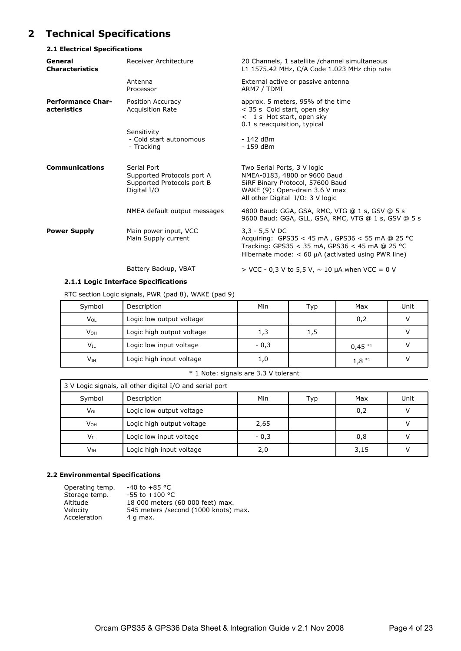## **2 Technical Specifications**

#### **2.1 Electrical Specifications**

| General<br><b>Characteristics</b>       | Receiver Architecture                                                                  | 20 Channels, 1 satellite / channel simultaneous<br>L1 1575.42 MHz, C/A Code 1.023 MHz chip rate                                                                                    |
|-----------------------------------------|----------------------------------------------------------------------------------------|------------------------------------------------------------------------------------------------------------------------------------------------------------------------------------|
|                                         | Antenna<br>Processor                                                                   | External active or passive antenna<br>ARM7 / TDMI                                                                                                                                  |
| <b>Performance Char-</b><br>acteristics | Position Accuracy<br><b>Acquisition Rate</b>                                           | approx. 5 meters, 95% of the time<br>< 35 s Cold start, open sky<br>$<$ 1 s Hot start, open sky<br>0.1 s reacquisition, typical                                                    |
|                                         | Sensitivity<br>- Cold start autonomous<br>- Tracking                                   | - 142 dBm<br>- 159 dBm                                                                                                                                                             |
| <b>Communications</b>                   | Serial Port<br>Supported Protocols port A<br>Supported Protocols port B<br>Digital I/O | Two Serial Ports, 3 V logic<br>NMEA-0183, 4800 or 9600 Baud<br>SiRF Binary Protocol, 57600 Baud<br>WAKE (9): Open-drain 3.6 V max<br>All other Digital I/O: 3 V logic              |
|                                         | NMEA default output messages                                                           | 4800 Baud: GGA, GSA, RMC, VTG @ 1 s, GSV @ 5 s<br>9600 Baud: GGA, GLL, GSA, RMC, VTG @ 1 s, GSV @ 5 s                                                                              |
| <b>Power Supply</b>                     | Main power input, VCC<br>Main Supply current                                           | $3,3 - 5,5$ V DC<br>Acquiring: GPS35 < 45 mA, GPS36 < 55 mA @ 25 °C<br>Tracking: GPS35 < 35 mA, GPS36 < 45 mA @ 25 °C<br>Hibernate mode: $<$ 60 $\mu$ A (activated using PWR line) |
|                                         | Battery Backup, VBAT                                                                   | $>$ VCC - 0,3 V to 5,5 V, $\sim$ 10 µA when VCC = 0 V                                                                                                                              |

#### **2.1.1 Logic Interface Specifications**

RTC section Logic signals, PWR (pad 8), WAKE (pad 9)

| Symbol          | Description               | Min    | Тур | Max         | Unit |
|-----------------|---------------------------|--------|-----|-------------|------|
| $V_{OL}$        | Logic low output voltage  |        |     | 0,2         |      |
| V <sub>OH</sub> | Logic high output voltage | 1,3    | 1,5 |             |      |
| $V_{\rm IL}$    | Logic low input voltage   | $-0,3$ |     | $0,45$ $*1$ |      |
| $V_{IH}$        | Logic high input voltage  | 1,0    |     | $1,8^{*1}$  |      |

#### \* 1 Note: signals are 3.3 V tolerant

|                          | 3 V Logic signals, all other digital I/O and serial port |        |     |      |      |
|--------------------------|----------------------------------------------------------|--------|-----|------|------|
| Symbol                   | Description                                              | Min    | Typ | Max  | Unit |
| Vol                      | Logic low output voltage                                 |        |     | 0,2  |      |
| V <sub>он</sub>          | Logic high output voltage                                | 2,65   |     |      |      |
| $\mathsf{V}_{\text{IL}}$ | Logic low input voltage                                  | $-0,3$ |     | 0,8  |      |
| $V_{IH}$                 | Logic high input voltage                                 | 2,0    |     | 3,15 |      |

#### **2.2 Environmental Specifications**

| Operating temp. | $-40$ to $+85$ °C                    |
|-----------------|--------------------------------------|
| Storage temp.   | $-55$ to $+100$ °C                   |
| Altitude        | 18 000 meters (60 000 feet) max.     |
| Velocity        | 545 meters /second (1000 knots) max. |
| Acceleration    | 4 g max.                             |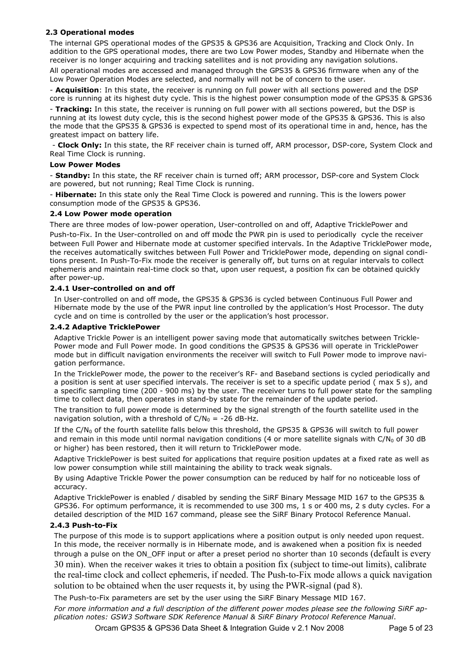#### **2.3 Operational modes**

The internal GPS operational modes of the GPS35 & GPS36 are Acquisition, Tracking and Clock Only. In addition to the GPS operational modes, there are two Low Power modes, Standby and Hibernate when the receiver is no longer acquiring and tracking satellites and is not providing any navigation solutions.

All operational modes are accessed and managed through the GPS35 & GPS36 firmware when any of the Low Power Operation Modes are selected, and normally will not be of concern to the user.

- **Acquisition**: In this state, the receiver is running on full power with all sections powered and the DSP core is running at its highest duty cycle. This is the highest power consumption mode of the GPS35 & GPS36

- **Tracking:** In this state, the receiver is running on full power with all sections powered, but the DSP is running at its lowest duty cycle, this is the second highest power mode of the GPS35 & GPS36. This is also the mode that the GPS35 & GPS36 is expected to spend most of its operational time in and, hence, has the greatest impact on battery life.

 - **Clock Only:** In this state, the RF receiver chain is turned off, ARM processor, DSP-core, System Clock and Real Time Clock is running.

#### **Low Power Modes**

- **Standby:** In this state, the RF receiver chain is turned off; ARM processor, DSP-core and System Clock are powered, but not running; Real Time Clock is running.

- **Hibernate:** In this state only the Real Time Clock is powered and running. This is the lowers power consumption mode of the GPS35 & GPS36.

#### **2.4 Low Power mode operation**

There are three modes of low-power operation, User-controlled on and off, Adaptive TricklePower and Push-to-Fix. In the User-controlled on and off mode the PWR pin is used to periodically cycle the receiver between Full Power and Hibernate mode at customer specified intervals. In the Adaptive TricklePower mode, the receives automatically switches between Full Power and TricklePower mode, depending on signal conditions present. In Push-To-Fix mode the receiver is generally off, but turns on at regular intervals to collect ephemeris and maintain real-time clock so that, upon user request, a position fix can be obtained quickly after power-up.

#### **2.4.1 User-controlled on and off**

In User-controlled on and off mode, the GPS35 & GPS36 is cycled between Continuous Full Power and Hibernate mode by the use of the PWR input line controlled by the application's Host Processor. The duty cycle and on time is controlled by the user or the application's host processor.

#### **2.4.2 Adaptive TricklePower**

Adaptive Trickle Power is an intelligent power saving mode that automatically switches between Trickle-Power mode and Full Power mode. In good conditions the GPS35 & GPS36 will operate in TricklePower mode but in difficult navigation environments the receiver will switch to Full Power mode to improve navigation performance.

In the TricklePower mode, the power to the receiver's RF- and Baseband sections is cycled periodically and a position is sent at user specified intervals. The receiver is set to a specific update period ( max 5 s), and a specific sampling time (200 - 900 ms) by the user. The receiver turns to full power state for the sampling time to collect data, then operates in stand-by state for the remainder of the update period.

The transition to full power mode is determined by the signal strength of the fourth satellite used in the navigation solution, with a threshold of  $C/N_0 = -26$  dB-Hz.

If the  $C/N_0$  of the fourth satellite falls below this threshold, the GPS35 & GPS36 will switch to full power and remain in this mode until normal navigation conditions (4 or more satellite signals with  $C/N_0$  of 30 dB or higher) has been restored, then it will return to TricklePower mode.

Adaptive TricklePower is best suited for applications that require position updates at a fixed rate as well as low power consumption while still maintaining the ability to track weak signals.

By using Adaptive Trickle Power the power consumption can be reduced by half for no noticeable loss of accuracy.

Adaptive TricklePower is enabled / disabled by sending the SiRF Binary Message MID 167 to the GPS35 & GPS36. For optimum performance, it is recommended to use 300 ms, 1 s or 400 ms, 2 s duty cycles. For a detailed description of the MID 167 command, please see the SiRF Binary Protocol Reference Manual.

#### **2.4.3 Push-to-Fix**

The purpose of this mode is to support applications where a position output is only needed upon request. In this mode, the receiver normally is in Hibernate mode, and is awakened when a position fix is needed through a pulse on the ON\_OFF input or after a preset period no shorter than 10 seconds (default is every 30 min). When the receiver wakes it tries to obtain a position fix (subject to time-out limits), calibrate the real-time clock and collect ephemeris, if needed. The Push-to-Fix mode allows a quick navigation solution to be obtained when the user requests it, by using the PWR-signal (pad 8).

The Push-to-Fix parameters are set by the user using the SiRF Binary Message MID 167. *For more information and a full description of the different power modes please see the following SiRF application notes: GSW3 Software SDK Reference Manual & SiRF Binary Protocol Reference Manual*.

Orcam GPS35 & GPS36 Data Sheet & Integration Guide v 2.1 Nov 2008 Page 5 of 23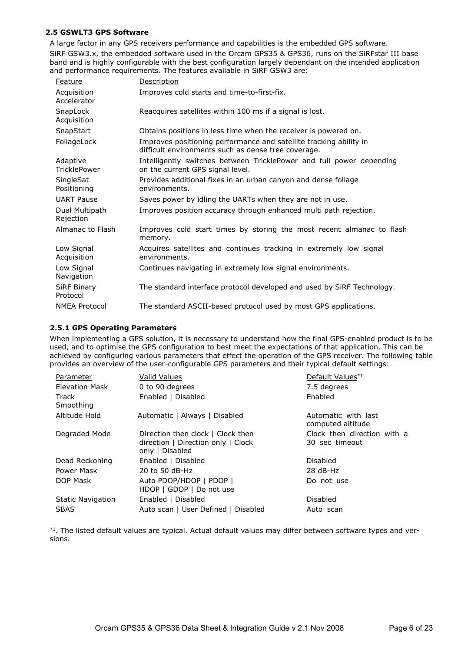#### **2.5 GSWLT3 GPS Software**

A large factor in any GPS receivers performance and capabilities is the embedded GPS software. SiRF GSW3.x, the embedded software used in the Orcam GPS35 & GPS36, runs on the SiRFstar III base band and is highly configurable with the best configuration largely dependant on the intended application and performance requirements. The features available in SiRF GSW3 are:

| <b>Feature</b>                  | <b>Description</b>                                                                                                        |
|---------------------------------|---------------------------------------------------------------------------------------------------------------------------|
| Acquisition<br>Accelerator      | Improves cold starts and time-to-first-fix.                                                                               |
| SnapLock<br>Acquisition         | Reacquires satellites within 100 ms if a signal is lost.                                                                  |
| SnapStart                       | Obtains positions in less time when the receiver is powered on.                                                           |
| FoliageLock                     | Improves positioning performance and satellite tracking ability in<br>difficult environments such as dense tree coverage. |
| Adaptive<br><b>TricklePower</b> | Intelligently switches between TricklePower and full power depending<br>on the current GPS signal level.                  |
| SingleSat<br>Positioning        | Provides additional fixes in an urban canyon and dense foliage<br>environments.                                           |
| <b>UART Pause</b>               | Saves power by idling the UARTs when they are not in use.                                                                 |
| Dual Multipath<br>Rejection     | Improves position accuracy through enhanced multi path rejection.                                                         |
| Almanac to Flash                | Improves cold start times by storing the most recent almanac to flash<br>memory.                                          |
| Low Signal<br>Acquisition       | Acquires satellites and continues tracking in extremely low signal<br>environments.                                       |
| Low Signal<br>Navigation        | Continues navigating in extremely low signal environments.                                                                |
| <b>SiRF Binary</b><br>Protocol  | The standard interface protocol developed and used by SiRF Technology.                                                    |
| <b>NMEA Protocol</b>            | The standard ASCII-based protocol used by most GPS applications.                                                          |

#### **2.5.1 GPS Operating Parameters**

When implementing a GPS solution, it is necessary to understand how the final GPS-enabled product is to be used, and to optimise the GPS configuration to best meet the expectations of that application. This can be achieved by configuring various parameters that effect the operation of the GPS receiver. The following table provides an overview of the user-configurable GPS parameters and their typical default settings:

| Parameter                | Valid Values                                                                               | Default Values*1                              |
|--------------------------|--------------------------------------------------------------------------------------------|-----------------------------------------------|
| Elevation Mask           | 0 to 90 degrees                                                                            | 7.5 degrees                                   |
| Track<br>Smoothing       | Enabled   Disabled                                                                         | Enabled                                       |
| Altitude Hold            | Automatic   Always   Disabled                                                              | Automatic with last<br>computed altitude      |
| Degraded Mode            | Direction then clock   Clock then<br>direction   Direction only   Clock<br>only   Disabled | Clock then direction with a<br>30 sec timeout |
| Dead Reckoning           | Enabled   Disabled                                                                         | Disabled                                      |
| Power Mask               | 20 to 50 dB-Hz                                                                             | $28 dB-Hz$                                    |
| DOP Mask                 | Auto PDOP/HDOP   PDOP  <br>HDOP   GDOP   Do not use                                        | Do not use                                    |
| <b>Static Navigation</b> | Enabled   Disabled                                                                         | Disabled                                      |
| <b>SBAS</b>              | Auto scan   User Defined   Disabled                                                        | Auto scan                                     |

\*1. The listed default values are typical. Actual default values may differ between software types and versions.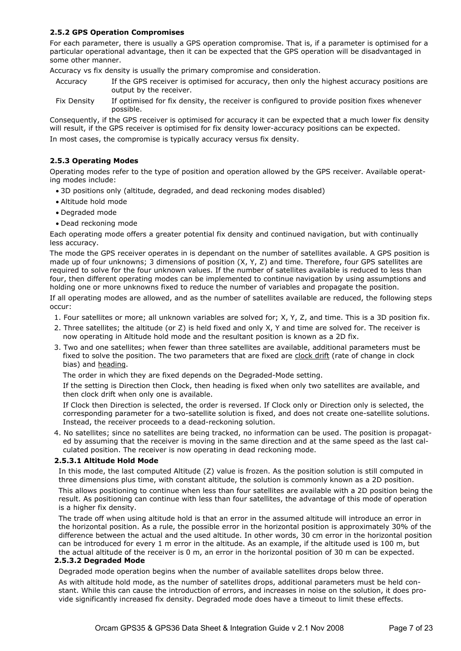#### **2.5.2 GPS Operation Compromises**

For each parameter, there is usually a GPS operation compromise. That is, if a parameter is optimised for a particular operational advantage, then it can be expected that the GPS operation will be disadvantaged in some other manner.

Accuracy vs fix density is usually the primary compromise and consideration.

- Accuracy If the GPS receiver is optimised for accuracy, then only the highest accuracy positions are output by the receiver.
- Fix Density If optimised for fix density, the receiver is configured to provide position fixes whenever possible.

Consequently, if the GPS receiver is optimised for accuracy it can be expected that a much lower fix density will result, if the GPS receiver is optimised for fix density lower-accuracy positions can be expected. In most cases, the compromise is typically accuracy versus fix density.

#### **2.5.3 Operating Modes**

Operating modes refer to the type of position and operation allowed by the GPS receiver. Available operating modes include:

- · 3D positions only (altitude, degraded, and dead reckoning modes disabled)
- · Altitude hold mode
- · Degraded mode
- · Dead reckoning mode

Each operating mode offers a greater potential fix density and continued navigation, but with continually less accuracy.

The mode the GPS receiver operates in is dependant on the number of satellites available. A GPS position is made up of four unknowns; 3 dimensions of position (X, Y, Z) and time. Therefore, four GPS satellites are required to solve for the four unknown values. If the number of satellites available is reduced to less than four, then different operating modes can be implemented to continue navigation by using assumptions and holding one or more unknowns fixed to reduce the number of variables and propagate the position.

If all operating modes are allowed, and as the number of satellites available are reduced, the following steps occur:

- 1. Four satellites or more; all unknown variables are solved for; X, Y, Z, and time. This is a 3D position fix.
- 2. Three satellites; the altitude (or Z) is held fixed and only X, Y and time are solved for. The receiver is now operating in Altitude hold mode and the resultant position is known as a 2D fix.
- 3. Two and one satellites; when fewer than three satellites are available, additional parameters must be fixed to solve the position. The two parameters that are fixed are clock drift (rate of change in clock bias) and heading.

The order in which they are fixed depends on the Degraded-Mode setting.

 If the setting is Direction then Clock, then heading is fixed when only two satellites are available, and then clock drift when only one is available.

 If Clock then Direction is selected, the order is reversed. If Clock only or Direction only is selected, the corresponding parameter for a two-satellite solution is fixed, and does not create one-satellite solutions. Instead, the receiver proceeds to a dead-reckoning solution.

4. No satellites; since no satellites are being tracked, no information can be used. The position is propagated by assuming that the receiver is moving in the same direction and at the same speed as the last calculated position. The receiver is now operating in dead reckoning mode.

#### **2.5.3.1 Altitude Hold Mode**

In this mode, the last computed Altitude (Z) value is frozen. As the position solution is still computed in three dimensions plus time, with constant altitude, the solution is commonly known as a 2D position.

This allows positioning to continue when less than four satellites are available with a 2D position being the result. As positioning can continue with less than four satellites, the advantage of this mode of operation is a higher fix density.

The trade off when using altitude hold is that an error in the assumed altitude will introduce an error in the horizontal position. As a rule, the possible error in the horizontal position is approximately 30% of the difference between the actual and the used altitude. In other words, 30 cm error in the horizontal position can be introduced for every 1 m error in the altitude. As an example, if the altitude used is 100 m, but the actual altitude of the receiver is 0 m, an error in the horizontal position of 30 m can be expected.

#### **2.5.3.2 Degraded Mode**

Degraded mode operation begins when the number of available satellites drops below three.

As with altitude hold mode, as the number of satellites drops, additional parameters must be held constant. While this can cause the introduction of errors, and increases in noise on the solution, it does provide significantly increased fix density. Degraded mode does have a timeout to limit these effects.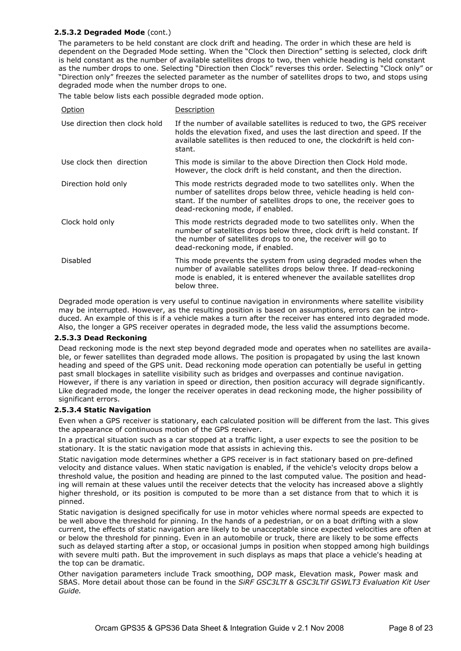#### **2.5.3.2 Degraded Mode** (cont.)

The parameters to be held constant are clock drift and heading. The order in which these are held is dependent on the Degraded Mode setting. When the "Clock then Direction" setting is selected, clock drift is held constant as the number of available satellites drops to two, then vehicle heading is held constant as the number drops to one. Selecting "Direction then Clock" reverses this order. Selecting "Clock only" or "Direction only" freezes the selected parameter as the number of satellites drops to two, and stops using degraded mode when the number drops to one.

The table below lists each possible degraded mode option.

| Option                        | Description                                                                                                                                                                                                                                             |
|-------------------------------|---------------------------------------------------------------------------------------------------------------------------------------------------------------------------------------------------------------------------------------------------------|
| Use direction then clock hold | If the number of available satellites is reduced to two, the GPS receiver<br>holds the elevation fixed, and uses the last direction and speed. If the<br>available satellites is then reduced to one, the clockdrift is held con-<br>stant.             |
| Use clock then direction      | This mode is similar to the above Direction then Clock Hold mode.<br>However, the clock drift is held constant, and then the direction.                                                                                                                 |
| Direction hold only           | This mode restricts degraded mode to two satellites only. When the<br>number of satellites drops below three, vehicle heading is held con-<br>stant. If the number of satellites drops to one, the receiver goes to<br>dead-reckoning mode, if enabled. |
| Clock hold only               | This mode restricts degraded mode to two satellites only. When the<br>number of satellites drops below three, clock drift is held constant. If<br>the number of satellites drops to one, the receiver will go to<br>dead-reckoning mode, if enabled.    |
| Disabled                      | This mode prevents the system from using degraded modes when the<br>number of available satellites drops below three. If dead-reckoning<br>mode is enabled, it is entered whenever the available satellites drop<br>below three.                        |

Degraded mode operation is very useful to continue navigation in environments where satellite visibility may be interrupted. However, as the resulting position is based on assumptions, errors can be introduced. An example of this is if a vehicle makes a turn after the receiver has entered into degraded mode. Also, the longer a GPS receiver operates in degraded mode, the less valid the assumptions become.

#### **2.5.3.3 Dead Reckoning**

Dead reckoning mode is the next step beyond degraded mode and operates when no satellites are available, or fewer satellites than degraded mode allows. The position is propagated by using the last known heading and speed of the GPS unit. Dead reckoning mode operation can potentially be useful in getting past small blockages in satellite visibility such as bridges and overpasses and continue navigation. However, if there is any variation in speed or direction, then position accuracy will degrade significantly. Like degraded mode, the longer the receiver operates in dead reckoning mode, the higher possibility of significant errors.

#### **2.5.3.4 Static Navigation**

Even when a GPS receiver is stationary, each calculated position will be different from the last. This gives the appearance of continuous motion of the GPS receiver.

In a practical situation such as a car stopped at a traffic light, a user expects to see the position to be stationary. It is the static navigation mode that assists in achieving this.

Static navigation mode determines whether a GPS receiver is in fact stationary based on pre-defined velocity and distance values. When static navigation is enabled, if the vehicle's velocity drops below a threshold value, the position and heading are pinned to the last computed value. The position and heading will remain at these values until the receiver detects that the velocity has increased above a slightly higher threshold, or its position is computed to be more than a set distance from that to which it is pinned.

Static navigation is designed specifically for use in motor vehicles where normal speeds are expected to be well above the threshold for pinning. In the hands of a pedestrian, or on a boat drifting with a slow current, the effects of static navigation are likely to be unacceptable since expected velocities are often at or below the threshold for pinning. Even in an automobile or truck, there are likely to be some effects such as delayed starting after a stop, or occasional jumps in position when stopped among high buildings with severe multi path. But the improvement in such displays as maps that place a vehicle's heading at the top can be dramatic.

Other navigation parameters include Track smoothing, DOP mask, Elevation mask, Power mask and SBAS. More detail about those can be found in the *SiRF GSC3LTf & GSC3LTif GSWLT3 Evaluation Kit User Guide.*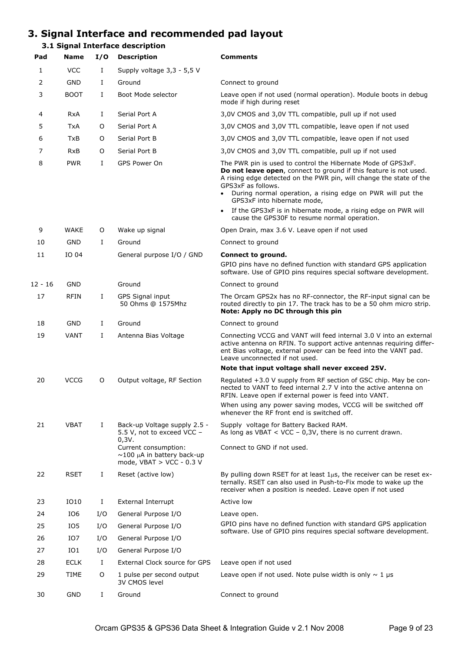## **3. Signal Interface and recommended pad layout**

### **3.1 Signal Interface description**

| Pad       | <b>Name</b> | I/O | <b>Description</b>                                                                     | <b>Comments</b>                                                                                                                                                                                                                                                                                                                  |
|-----------|-------------|-----|----------------------------------------------------------------------------------------|----------------------------------------------------------------------------------------------------------------------------------------------------------------------------------------------------------------------------------------------------------------------------------------------------------------------------------|
| 1         | <b>VCC</b>  | Ι   | Supply voltage 3,3 - 5,5 V                                                             |                                                                                                                                                                                                                                                                                                                                  |
| 2         | <b>GND</b>  | Ι   | Ground                                                                                 | Connect to ground                                                                                                                                                                                                                                                                                                                |
| 3         | <b>BOOT</b> | Ι.  | Boot Mode selector                                                                     | Leave open if not used (normal operation). Module boots in debug<br>mode if high during reset                                                                                                                                                                                                                                    |
| 4         | <b>RxA</b>  | Ι   | Serial Port A                                                                          | 3,0V CMOS and 3,0V TTL compatible, pull up if not used                                                                                                                                                                                                                                                                           |
| 5         | TxA         | 0   | Serial Port A                                                                          | 3,0V CMOS and 3,0V TTL compatible, leave open if not used                                                                                                                                                                                                                                                                        |
| 6         | TxB         | 0   | Serial Port B                                                                          | 3,0V CMOS and 3,0V TTL compatible, leave open if not used                                                                                                                                                                                                                                                                        |
| 7         | <b>RxB</b>  | 0   | Serial Port B                                                                          | 3,0V CMOS and 3,0V TTL compatible, pull up if not used                                                                                                                                                                                                                                                                           |
| 8         | <b>PWR</b>  | Ι   | GPS Power On                                                                           | The PWR pin is used to control the Hibernate Mode of GPS3xF.<br>Do not leave open, connect to ground if this feature is not used.<br>A rising edge detected on the PWR pin, will change the state of the<br>GPS3xF as follows.<br>During normal operation, a rising edge on PWR will put the<br>٠<br>GPS3xF into hibernate mode, |
|           |             |     |                                                                                        | If the GPS3xF is in hibernate mode, a rising edge on PWR will<br>$\bullet$<br>cause the GPS30F to resume normal operation.                                                                                                                                                                                                       |
| 9         | <b>WAKE</b> | O   | Wake up signal                                                                         | Open Drain, max 3.6 V. Leave open if not used                                                                                                                                                                                                                                                                                    |
| 10        | GND         | L   | Ground                                                                                 | Connect to ground                                                                                                                                                                                                                                                                                                                |
| 11        | IO 04       |     | General purpose I/O / GND                                                              | Connect to ground.                                                                                                                                                                                                                                                                                                               |
|           |             |     |                                                                                        | GPIO pins have no defined function with standard GPS application<br>software. Use of GPIO pins requires special software development.                                                                                                                                                                                            |
| $12 - 16$ | <b>GND</b>  |     | Ground                                                                                 | Connect to ground                                                                                                                                                                                                                                                                                                                |
| 17        | RFIN        | Ι.  | GPS Signal input<br>50 Ohms @ 1575Mhz                                                  | The Orcam GPS2x has no RF-connector, the RF-input signal can be<br>routed directly to pin 17. The track has to be a 50 ohm micro strip.<br>Note: Apply no DC through this pin                                                                                                                                                    |
| 18        | <b>GND</b>  | Ι.  | Ground                                                                                 | Connect to ground                                                                                                                                                                                                                                                                                                                |
| 19        | <b>VANT</b> | Ι.  | Antenna Bias Voltage                                                                   | Connecting VCCG and VANT will feed internal 3.0 V into an external<br>active antenna on RFIN. To support active antennas requiring differ-<br>ent Bias voltage, external power can be feed into the VANT pad.<br>Leave unconnected if not used.                                                                                  |
|           |             |     |                                                                                        | Note that input voltage shall never exceed 25V.                                                                                                                                                                                                                                                                                  |
| 20        | <b>VCCG</b> | 0   | Output voltage, RF Section                                                             | Regulated +3.0 V supply from RF section of GSC chip. May be con-<br>nected to VANT to feed internal 2.7 V into the active antenna on<br>RFIN. Leave open if external power is feed into VANT.                                                                                                                                    |
|           |             |     |                                                                                        | When using any power saving modes, VCCG will be switched off<br>whenever the RF front end is switched off.                                                                                                                                                                                                                       |
| 21        | VBAT        | I   | Back-up Voltage supply 2.5 -<br>5.5 V, not to exceed VCC -<br>0, 3V.                   | Supply voltage for Battery Backed RAM.<br>As long as VBAT < VCC - $0,3V$ , there is no current drawn.                                                                                                                                                                                                                            |
|           |             |     | Current consumption:<br>$\sim$ 100 µA in battery back-up<br>mode, $VBAT > VCC - 0.3 V$ | Connect to GND if not used.                                                                                                                                                                                                                                                                                                      |
| 22        | <b>RSET</b> | Ι.  | Reset (active low)                                                                     | By pulling down RSET for at least $1\mu s$ , the receiver can be reset ex-<br>ternally. RSET can also used in Push-to-Fix mode to wake up the<br>receiver when a position is needed. Leave open if not used                                                                                                                      |
| 23        | IO10        | Ι   | External Interrupt                                                                     | Active low                                                                                                                                                                                                                                                                                                                       |
| 24        | IO6         | I/O | General Purpose I/O                                                                    | Leave open.                                                                                                                                                                                                                                                                                                                      |
| 25        | IO5         | I/O | General Purpose I/O                                                                    | GPIO pins have no defined function with standard GPS application<br>software. Use of GPIO pins requires special software development.                                                                                                                                                                                            |
| 26        | IO7         | I/O | General Purpose I/O                                                                    |                                                                                                                                                                                                                                                                                                                                  |
| 27        | IO1         | I/O | General Purpose I/O                                                                    |                                                                                                                                                                                                                                                                                                                                  |
| 28        | <b>ECLK</b> | Ι.  | External Clock source for GPS                                                          | Leave open if not used                                                                                                                                                                                                                                                                                                           |
| 29        | TIME        | 0   | 1 pulse per second output<br>3V CMOS level                                             | Leave open if not used. Note pulse width is only $\sim 1$ µs                                                                                                                                                                                                                                                                     |
| 30        | GND         | Ι   | Ground                                                                                 | Connect to ground                                                                                                                                                                                                                                                                                                                |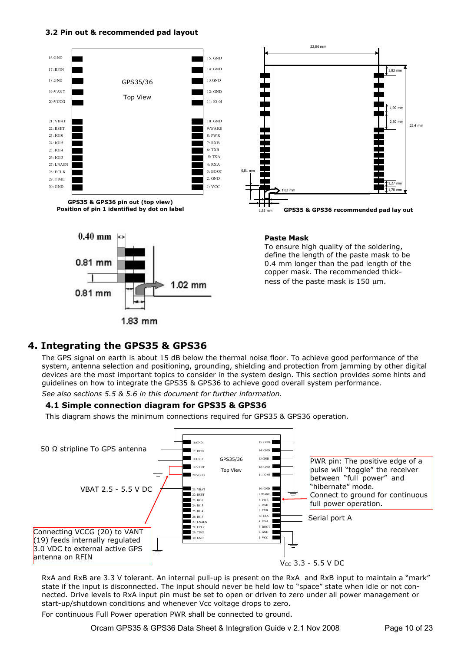#### **3.2 Pin out & recommended pad layout**





# 1.02 mm 0.81 mm  $1.83$  mm

#### **Paste Mask**

To ensure high quality of the soldering, define the length of the paste mask to be 0.4 mm longer than the pad length of the copper mask. The recommended thickness of the paste mask is  $150 \mu m$ .

## **4. Integrating the GPS35 & GPS36**

The GPS signal on earth is about 15 dB below the thermal noise floor. To achieve good performance of the system, antenna selection and positioning, grounding, shielding and protection from jamming by other digital devices are the most important topics to consider in the system design. This section provides some hints and guidelines on how to integrate the GPS35 & GPS36 to achieve good overall system performance. *See also sections 5.5 & 5.6 in this document for further information.*

#### **4.1 Simple connection diagram for GPS35 & GPS36**

This diagram shows the minimum connections required for GPS35 & GPS36 operation.



RxA and RxB are 3.3 V tolerant. An internal pull-up is present on the RxA and RxB input to maintain a "mark" state if the input is disconnected. The input should never be held low to "space" state when idle or not connected. Drive levels to RxA input pin must be set to open or driven to zero under all power management or start-up/shutdown conditions and whenever Vcc voltage drops to zero.

For continuous Full Power operation PWR shall be connected to ground.

Orcam GPS35 & GPS36 Data Sheet & Integration Guide v 2.1 Nov 2008 Page 10 of 23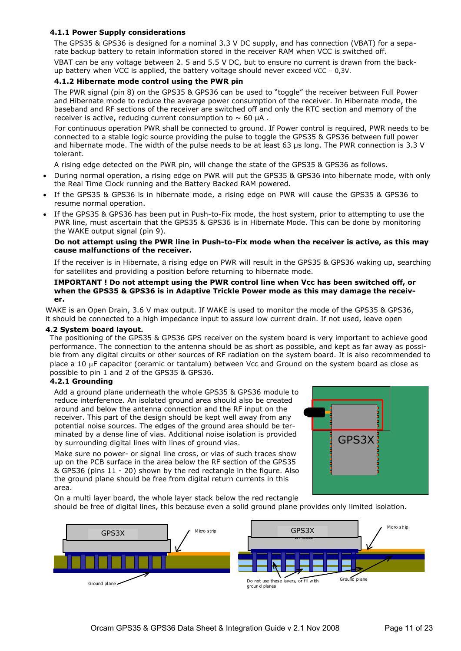#### **4.1.1 Power Supply considerations**

The GPS35 & GPS36 is designed for a nominal 3.3 V DC supply, and has connection (VBAT) for a separate backup battery to retain information stored in the receiver RAM when VCC is switched off.

VBAT can be any voltage between 2. 5 and 5.5 V DC, but to ensure no current is drawn from the backup battery when VCC is applied, the battery voltage should never exceed VCC – 0,3V.

#### **4.1.2 Hibernate mode control using the PWR pin**

The PWR signal (pin 8) on the GPS35 & GPS36 can be used to "toggle" the receiver between Full Power and Hibernate mode to reduce the average power consumption of the receiver. In Hibernate mode, the baseband and RF sections of the receiver are switched off and only the RTC section and memory of the receiver is active, reducing current consumption to  $\sim 60$  µA.

For continuous operation PWR shall be connected to ground. If Power control is required, PWR needs to be connected to a stable logic source providing the pulse to toggle the GPS35 & GPS36 between full power and hibernate mode. The width of the pulse needs to be at least 63 µs long. The PWR connection is 3.3 V tolerant.

A rising edge detected on the PWR pin, will change the state of the GPS35 & GPS36 as follows.

- · During normal operation, a rising edge on PWR will put the GPS35 & GPS36 into hibernate mode, with only the Real Time Clock running and the Battery Backed RAM powered.
- If the GPS35 & GPS36 is in hibernate mode, a rising edge on PWR will cause the GPS35 & GPS36 to resume normal operation.
- If the GPS35 & GPS36 has been put in Push-to-Fix mode, the host system, prior to attempting to use the PWR line, must ascertain that the GPS35 & GPS36 is in Hibernate Mode. This can be done by monitoring the WAKE output signal (pin 9).

#### **Do not attempt using the PWR line in Push-to-Fix mode when the receiver is active, as this may cause malfunctions of the receiver.**

 If the receiver is in Hibernate, a rising edge on PWR will result in the GPS35 & GPS36 waking up, searching for satellites and providing a position before returning to hibernate mode.

#### **IMPORTANT ! Do not attempt using the PWR control line when Vcc has been switched off, or when the GPS35 & GPS36 is in Adaptive Trickle Power mode as this may damage the receiver.**

WAKE is an Open Drain, 3.6 V max output. If WAKE is used to monitor the mode of the GPS35 & GPS36, it should be connected to a high impedance input to assure low current drain. If not used, leave open

#### **4.2 System board layout.**

The positioning of the GPS35 & GPS36 GPS receiver on the system board is very important to achieve good performance. The connection to the antenna should be as short as possible, and kept as far away as possible from any digital circuits or other sources of RF radiation on the system board. It is also recommended to place a 10 µF capacitor (ceramic or tantalum) between Vcc and Ground on the system board as close as possible to pin 1 and 2 of the GPS35 & GPS36.

#### **4.2.1 Grounding**

Add a ground plane underneath the whole GPS35 & GPS36 module to reduce interference. An isolated ground area should also be created around and below the antenna connection and the RF input on the receiver. This part of the design should be kept well away from any potential noise sources. The edges of the ground area should be terminated by a dense line of vias. Additional noise isolation is provided by surrounding digital lines with lines of ground vias.

GPS3X

Make sure no power- or signal line cross, or vias of such traces show up on the PCB surface in the area below the RF section of the GPS35 & GPS36 (pins 11 - 20) shown by the red rectangle in the figure. Also the ground plane should be free from digital return currents in this area.

On a multi layer board, the whole layer stack below the red rectangle should be free of digital lines, this because even a solid ground plane provides only limited isolation.

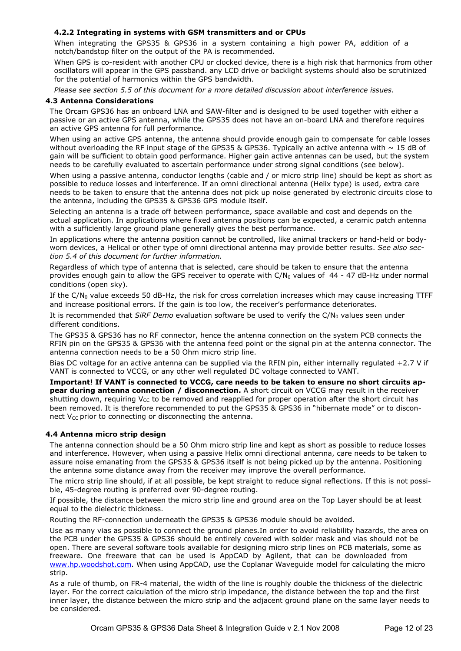#### **4.2.2 Integrating in systems with GSM transmitters and or CPUs**

When integrating the GPS35 & GPS36 in a system containing a high power PA, addition of a notch/bandstop filter on the output of the PA is recommended.

When GPS is co-resident with another CPU or clocked device, there is a high risk that harmonics from other oscillators will appear in the GPS passband. any LCD drive or backlight systems should also be scrutinized for the potential of harmonics within the GPS bandwidth.

*Please see section 5.5 of this document for a more detailed discussion about interference issues.*

#### **4.3 Antenna Considerations**

The Orcam GPS36 has an onboard LNA and SAW-filter and is designed to be used together with either a passive or an active GPS antenna, while the GPS35 does not have an on-board LNA and therefore requires an active GPS antenna for full performance.

When using an active GPS antenna, the antenna should provide enough gain to compensate for cable losses without overloading the RF input stage of the GPS35 & GPS36. Typically an active antenna with  $\sim$  15 dB of gain will be sufficient to obtain good performance. Higher gain active antennas can be used, but the system needs to be carefully evaluated to ascertain performance under strong signal conditions (see below).

When using a passive antenna, conductor lengths (cable and / or micro strip line) should be kept as short as possible to reduce losses and interference. If an omni directional antenna (Helix type) is used, extra care needs to be taken to ensure that the antenna does not pick up noise generated by electronic circuits close to the antenna, including the GPS35 & GPS36 GPS module itself.

Selecting an antenna is a trade off between performance, space available and cost and depends on the actual application. In applications where fixed antenna positions can be expected, a ceramic patch antenna with a sufficiently large ground plane generally gives the best performance.

In applications where the antenna position cannot be controlled, like animal trackers or hand-held or bodyworn devices, a Helical or other type of omni directional antenna may provide better results. *See also section 5.4 of this document for further information.*

Regardless of which type of antenna that is selected, care should be taken to ensure that the antenna provides enough gain to allow the GPS receiver to operate with  $C/N_0$  values of 44 - 47 dB-Hz under normal conditions (open sky).

If the  $C/N_0$  value exceeds 50 dB-Hz, the risk for cross correlation increases which may cause increasing TTFF and increase positional errors. If the gain is too low, the receiver's performance deteriorates.

It is recommended that *SiRF Demo* evaluation software be used to verify the C/N<sub>0</sub> values seen under different conditions.

The GPS35 & GPS36 has no RF connector, hence the antenna connection on the system PCB connects the RFIN pin on the GPS35 & GPS36 with the antenna feed point or the signal pin at the antenna connector. The antenna connection needs to be a 50 Ohm micro strip line.

Bias DC voltage for an active antenna can be supplied via the RFIN pin, either internally regulated +2.7 V if VANT is connected to VCCG, or any other well regulated DC voltage connected to VANT.

**Important! If VANT is connected to VCCG, care needs to be taken to ensure no short circuits appear during antenna connection / disconnection.** A short circuit on VCCG may result in the receiver shutting down, requiring  $V_{CC}$  to be removed and reapplied for proper operation after the short circuit has been removed. It is therefore recommended to put the GPS35 & GPS36 in "hibernate mode" or to disconnect  $V_{CC}$  prior to connecting or disconnecting the antenna.

#### **4.4 Antenna micro strip design**

The antenna connection should be a 50 Ohm micro strip line and kept as short as possible to reduce losses and interference. However, when using a passive Helix omni directional antenna, care needs to be taken to assure noise emanating from the GPS35 & GPS36 itself is not being picked up by the antenna. Positioning the antenna some distance away from the receiver may improve the overall performance.

The micro strip line should, if at all possible, be kept straight to reduce signal reflections. If this is not possible, 45-degree routing is preferred over 90-degree routing.

If possible, the distance between the micro strip line and ground area on the Top Layer should be at least equal to the dielectric thickness.

Routing the RF-connection underneath the GPS35 & GPS36 module should be avoided.

Use as many vias as possible to connect the ground planes.In order to avoid reliability hazards, the area on the PCB under the GPS35 & GPS36 should be entirely covered with solder mask and vias should not be open. There are several software tools available for designing micro strip lines on PCB materials, some as freeware. One freeware that can be used is AppCAD by Agilent, that can be downloaded from www.hp.woodshot.com. When using AppCAD, use the Coplanar Waveguide model for calculating the micro strip.

As a rule of thumb, on FR-4 material, the width of the line is roughly double the thickness of the dielectric layer. For the correct calculation of the micro strip impedance, the distance between the top and the first inner layer, the distance between the micro strip and the adjacent ground plane on the same layer needs to be considered.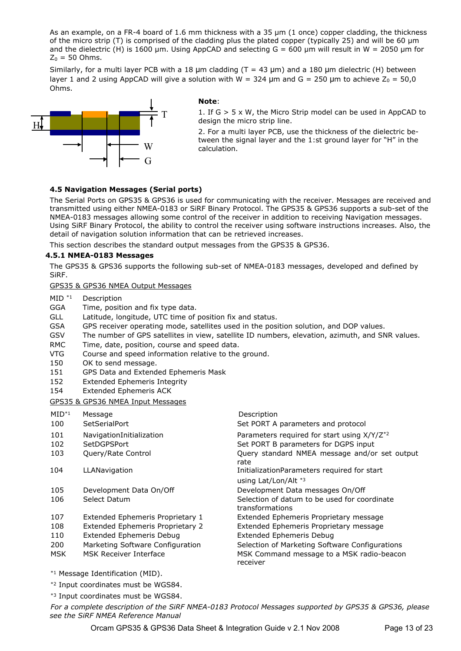As an example, on a FR-4 board of 1.6 mm thickness with a 35 µm (1 once) copper cladding, the thickness of the micro strip (T) is comprised of the cladding plus the plated copper (typically 25) and will be 60 µm and the dielectric (H) is 1600 µm. Using AppCAD and selecting  $G = 600$  µm will result in W = 2050 µm for  $Z_0 = 50$  Ohms.

Similarly, for a multi layer PCB with a 18  $\mu$ m cladding (T = 43  $\mu$ m) and a 180  $\mu$ m dielectric (H) between layer 1 and 2 using AppCAD will give a solution with W = 324  $\mu$ m and G = 250  $\mu$ m to achieve Z<sub>0</sub> = 50,0 Ohms.



#### **Note**:

1. If G > 5 x W, the Micro Strip model can be used in AppCAD to design the micro strip line.

2. For a multi layer PCB, use the thickness of the dielectric between the signal layer and the 1:st ground layer for "H" in the calculation.

#### **4.5 Navigation Messages (Serial ports)**

The Serial Ports on GPS35 & GPS36 is used for communicating with the receiver. Messages are received and transmitted using either NMEA-0183 or SiRF Binary Protocol. The GPS35 & GPS36 supports a sub-set of the NMEA-0183 messages allowing some control of the receiver in addition to receiving Navigation messages. Using SiRF Binary Protocol, the ability to control the receiver using software instructions increases. Also, the detail of navigation solution information that can be retrieved increases.

This section describes the standard output messages from the GPS35 & GPS36.

#### **4.5.1 NMEA-0183 Messages**

The GPS35 & GPS36 supports the following sub-set of NMEA-0183 messages, developed and defined by SiRF.

#### GPS35 & GPS36 NMEA Output Messages

- MID \*1 Description
- GGA Time, position and fix type data.
- GLL Latitude, longitude, UTC time of position fix and status.
- GSA GPS receiver operating mode, satellites used in the position solution, and DOP values.
- GSV The number of GPS satellites in view, satellite ID numbers, elevation, azimuth, and SNR values.
- RMC Time, date, position, course and speed data.
- VTG Course and speed information relative to the ground.
- 150 OK to send message.
- 151 GPS Data and Extended Ephemeris Mask
- 152 Extended Ephemeris Integrity
- 154 Extended Ephemeris ACK

#### GPS35 & GPS36 NMEA Input Messages

| $MID^{*1}$<br>100 | Message<br><b>SetSerialPort</b>         | Description<br>Set PORT A parameters and protocol                                               |
|-------------------|-----------------------------------------|-------------------------------------------------------------------------------------------------|
| 101<br>102        | NavigationInitialization<br>SetDGPSPort | Parameters required for start using X/Y/Z <sup>*2</sup><br>Set PORT B parameters for DGPS input |
| 103               | Query/Rate Control                      | Query standard NMEA message and/or set output<br>rate                                           |
| 104               | LLANavigation                           | InitializationParameters required for start<br>using Lat/Lon/Alt *3                             |
| 105               | Development Data On/Off                 | Development Data messages On/Off                                                                |
| 106               | Select Datum                            | Selection of datum to be used for coordinate<br>transformations                                 |
| 107               | Extended Ephemeris Proprietary 1        | Extended Ephemeris Proprietary message                                                          |
| 108               | Extended Ephemeris Proprietary 2        | Extended Ephemeris Proprietary message                                                          |
| 110               | <b>Extended Ephemeris Debug</b>         | <b>Extended Ephemeris Debug</b>                                                                 |
| 200               | Marketing Software Configuration        | Selection of Marketing Software Configurations                                                  |
| MSK               | MSK Receiver Interface                  | MSK Command message to a MSK radio-beacon<br>receiver                                           |

- \*1 Message Identification (MID).
- \*2 Input coordinates must be WGS84.
- \*3 Input coordinates must be WGS84.

*For a complete description of the SiRF NMEA-0183 Protocol Messages supported by GPS35 & GPS36, please see the SiRF NMEA Reference Manual*

Orcam GPS35 & GPS36 Data Sheet & Integration Guide v 2.1 Nov 2008 Page 13 of 23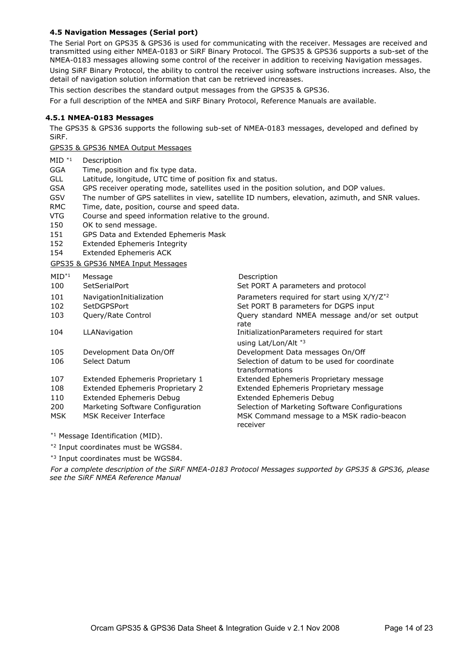#### **4.5 Navigation Messages (Serial port)**

The Serial Port on GPS35 & GPS36 is used for communicating with the receiver. Messages are received and transmitted using either NMEA-0183 or SiRF Binary Protocol. The GPS35 & GPS36 supports a sub-set of the NMEA-0183 messages allowing some control of the receiver in addition to receiving Navigation messages. Using SiRF Binary Protocol, the ability to control the receiver using software instructions increases. Also, the detail of navigation solution information that can be retrieved increases.

This section describes the standard output messages from the GPS35 & GPS36.

For a full description of the NMEA and SiRF Binary Protocol, Reference Manuals are available.

#### **4.5.1 NMEA-0183 Messages**

The GPS35 & GPS36 supports the following sub-set of NMEA-0183 messages, developed and defined by SiRF.

GPS35 & GPS36 NMEA Output Messages

- MID \*1 Description
- GGA Time, position and fix type data.
- GLL Latitude, longitude, UTC time of position fix and status.
- GSA GPS receiver operating mode, satellites used in the position solution, and DOP values.
- GSV The number of GPS satellites in view, satellite ID numbers, elevation, azimuth, and SNR values.
- RMC Time, date, position, course and speed data.
- VTG Course and speed information relative to the ground.
- 150 OK to send message.
- 151 GPS Data and Extended Ephemeris Mask
- 152 Extended Ephemeris Integrity
- 154 Extended Ephemeris ACK

#### GPS35 & GPS36 NMEA Input Messages

MID<sup>\*1</sup> Message Description 100 SetSerialPort Set PORT A parameters and protocol 101 NavigationInitialization Parameters required for start using X/Y/Z<sup>\*2</sup> 102 SetDGPSPort Set PORT B parameters for DGPS input 103 Query/Rate Control Query standard NMEA message and/or set output rate de la construcción de la construcción de la construcción de la construcción de la construcción de la cons 104 LLANavigation **InitializationParameters required for start**  using Lat/Lon/Alt \*3 105 Development Data On/Off Development Data messages On/Off 106 Select Datum Selection of datum to be used for coordinate transformations 107 Extended Ephemeris Proprietary 1 Extended Ephemeris Proprietary message 108 Extended Ephemeris Proprietary 2 Extended Ephemeris Proprietary message 110 Extended Ephemeris Debug Extended Ephemeris Debug 200 Marketing Software Configuration Selection of Marketing Software Configurations MSK MSK Receiver Interface MSK Command message to a MSK radio-beacon receiver

\*1 Message Identification (MID).

- \*2 Input coordinates must be WGS84.
- \*3 Input coordinates must be WGS84.

*For a complete description of the SiRF NMEA-0183 Protocol Messages supported by GPS35 & GPS36, please see the SiRF NMEA Reference Manual*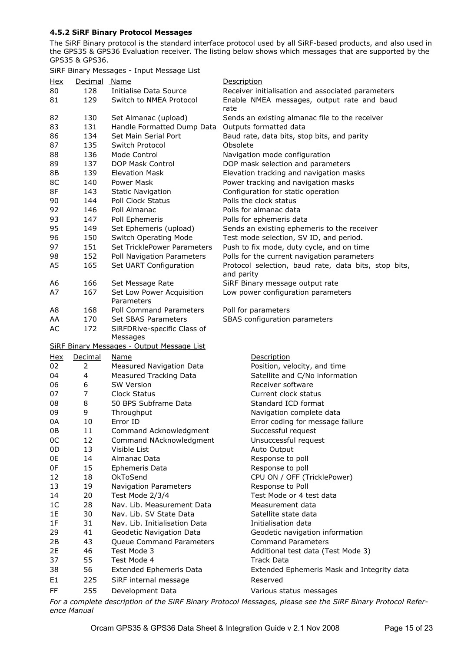#### **4.5.2 SiRF Binary Protocol Messages**

The SiRF Binary protocol is the standard interface protocol used by all SiRF-based products, and also used in the GPS35 & GPS36 Evaluation receiver. The listing below shows which messages that are supported by the GPS35 & GPS36.

SiRF Binary Messages - Input Message List

| <u>Hex</u>     | Decimal Name   |                                            | Description                                                        |
|----------------|----------------|--------------------------------------------|--------------------------------------------------------------------|
| 80             | 128            | Initialise Data Source                     | Receiver initialisation and associated parameters                  |
| 81             | 129            | Switch to NMEA Protocol                    | Enable NMEA messages, output rate and baud<br>rate                 |
| 82             | 130            | Set Almanac (upload)                       | Sends an existing almanac file to the receiver                     |
| 83             | 131            | Handle Formatted Dump Data                 | Outputs formatted data                                             |
| 86             | 134            | Set Main Serial Port                       | Baud rate, data bits, stop bits, and parity                        |
| 87             | 135            | Switch Protocol                            | Obsolete                                                           |
| 88             | 136            | Mode Control                               | Navigation mode configuration                                      |
| 89             | 137            | DOP Mask Control                           | DOP mask selection and parameters                                  |
| 8B             | 139            | <b>Elevation Mask</b>                      | Elevation tracking and navigation masks                            |
| 8C             | 140            | <b>Power Mask</b>                          | Power tracking and navigation masks                                |
| 8F             | 143            | <b>Static Navigation</b>                   | Configuration for static operation                                 |
| 90             | 144            | Poll Clock Status                          | Polls the clock status                                             |
| 92             | 146            | Poll Almanac                               | Polls for almanac data                                             |
| 93             | 147            | Poll Ephemeris                             | Polls for ephemeris data                                           |
| 95             | 149            | Set Ephemeris (upload)                     | Sends an existing ephemeris to the receiver                        |
| 96             | 150            | <b>Switch Operating Mode</b>               | Test mode selection, SV ID, and period.                            |
| 97             | 151            | Set TricklePower Parameters                | Push to fix mode, duty cycle, and on time                          |
| 98             | 152            | Poll Navigation Parameters                 | Polls for the current navigation parameters                        |
|                |                |                                            |                                                                    |
| A <sub>5</sub> | 165            | Set UART Configuration                     | Protocol selection, baud rate, data bits, stop bits,<br>and parity |
| A6             | 166            | Set Message Rate                           | SiRF Binary message output rate                                    |
| A7             | 167            | Set Low Power Acquisition<br>Parameters    | Low power configuration parameters                                 |
| A <sub>8</sub> | 168            | Poll Command Parameters                    | Poll for parameters                                                |
| AA             | 170            | Set SBAS Parameters                        | SBAS configuration parameters                                      |
| AC             | 172            | SiRFDRive-specific Class of                |                                                                    |
|                |                |                                            |                                                                    |
|                |                | Messages                                   |                                                                    |
|                |                | SiRF Binary Messages - Output Message List |                                                                    |
| <u>Hex</u>     | Decimal        | <u>Name</u>                                | Description                                                        |
| 02             | $\overline{2}$ | Measured Navigation Data                   | Position, velocity, and time                                       |
| 04             | 4              | <b>Measured Tracking Data</b>              | Satellite and C/No information                                     |
| 06             | 6              | <b>SW Version</b>                          | Receiver software                                                  |
| 07             | 7              | Clock Status                               | Current clock status                                               |
| 08             | 8              | 50 BPS Subframe Data                       | Standard ICD format                                                |
| 09             | 9              | Throughput                                 | Navigation complete data                                           |
| 0A             | 10             | Error ID                                   | Error coding for message failure                                   |
| 0В             | 11             | Command Acknowledgment                     | Successful request                                                 |
| 0C             | 12             | Command NAcknowledgment                    | Unsuccessful request                                               |
| 0D             | 13             | Visible List                               | Auto Output                                                        |
| 0E             | 14             | Almanac Data                               | Response to poll                                                   |
| 0F             | 15             | Ephemeris Data                             | Response to poll                                                   |
| 12             | 18             | OkToSend                                   | CPU ON / OFF (TricklePower)                                        |
| 13             | 19             | <b>Navigation Parameters</b>               | Response to Poll                                                   |
| 14             | 20             | Test Mode 2/3/4                            | Test Mode or 4 test data                                           |
| 1 <sup>C</sup> | 28             | Nav. Lib. Measurement Data                 | Measurement data                                                   |
| 1E             | 30             | Nav. Lib. SV State Data                    | Satellite state data                                               |
| 1F             | 31             | Nav. Lib. Initialisation Data              | Initialisation data                                                |
| 29             | 41             | Geodetic Navigation Data                   | Geodetic navigation information                                    |
| 2B             | 43             | Queue Command Parameters                   | <b>Command Parameters</b>                                          |
| 2E             | 46             | Test Mode 3                                | Additional test data (Test Mode 3)                                 |
| 37             | 55             | Test Mode 4                                | Track Data                                                         |
| 38             | 56             | <b>Extended Ephemeris Data</b>             | Extended Ephemeris Mask and Integrity data                         |
| E1<br>FF       | 225<br>255     | SiRF internal message<br>Development Data  | Reserved<br>Various status messages                                |

*For a complete description of the SiRF Binary Protocol Messages, please see the SiRF Binary Protocol Reference Manual*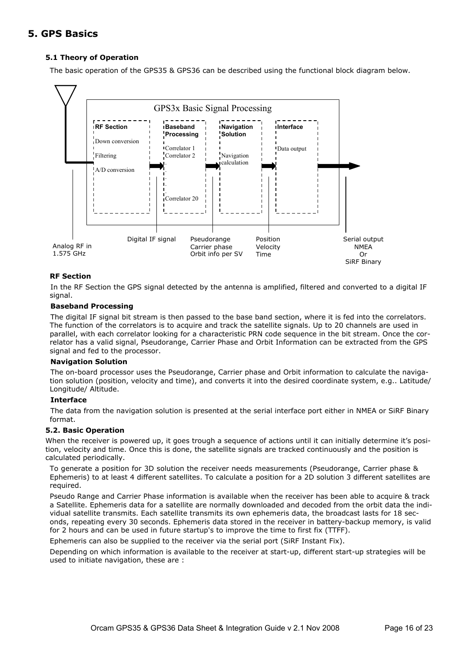## **5. GPS Basics**

#### **5.1 Theory of Operation**

The basic operation of the GPS35 & GPS36 can be described using the functional block diagram below.



#### **RF Section**

In the RF Section the GPS signal detected by the antenna is amplified, filtered and converted to a digital IF signal.

#### **Baseband Processing**

The digital IF signal bit stream is then passed to the base band section, where it is fed into the correlators. The function of the correlators is to acquire and track the satellite signals. Up to 20 channels are used in parallel, with each correlator looking for a characteristic PRN code sequence in the bit stream. Once the correlator has a valid signal, Pseudorange, Carrier Phase and Orbit Information can be extracted from the GPS signal and fed to the processor.

#### **Navigation Solution**

The on-board processor uses the Pseudorange, Carrier phase and Orbit information to calculate the navigation solution (position, velocity and time), and converts it into the desired coordinate system, e.g.. Latitude/ Longitude/ Altitude.

#### **Interface**

The data from the navigation solution is presented at the serial interface port either in NMEA or SiRF Binary format.

#### **5.2. Basic Operation**

When the receiver is powered up, it goes trough a sequence of actions until it can initially determine it's position, velocity and time. Once this is done, the satellite signals are tracked continuously and the position is calculated periodically.

To generate a position for 3D solution the receiver needs measurements (Pseudorange, Carrier phase & Ephemeris) to at least 4 different satellites. To calculate a position for a 2D solution 3 different satellites are required.

Pseudo Range and Carrier Phase information is available when the receiver has been able to acquire & track a Satellite. Ephemeris data for a satellite are normally downloaded and decoded from the orbit data the individual satellite transmits. Each satellite transmits its own ephemeris data, the broadcast lasts for 18 seconds, repeating every 30 seconds. Ephemeris data stored in the receiver in battery-backup memory, is valid for 2 hours and can be used in future startup's to improve the time to first fix (TTFF).

Ephemeris can also be supplied to the receiver via the serial port (SiRF Instant Fix).

Depending on which information is available to the receiver at start-up, different start-up strategies will be used to initiate navigation, these are :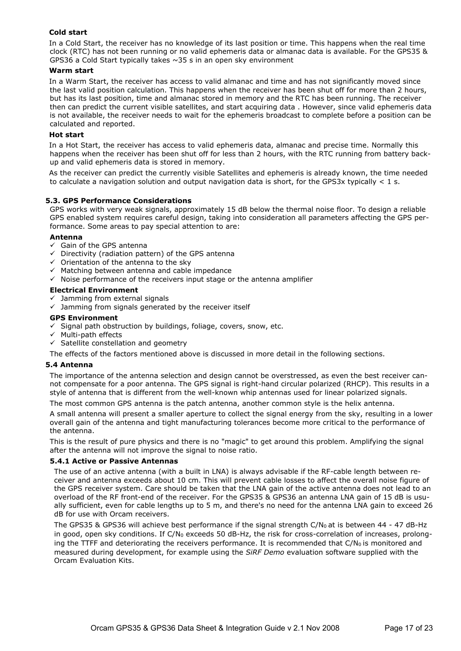#### **Cold start**

In a Cold Start, the receiver has no knowledge of its last position or time. This happens when the real time clock (RTC) has not been running or no valid ephemeris data or almanac data is available. For the GPS35 & GPS36 a Cold Start typically takes ~35 s in an open sky environment

#### **Warm start**

In a Warm Start, the receiver has access to valid almanac and time and has not significantly moved since the last valid position calculation. This happens when the receiver has been shut off for more than 2 hours, but has its last position, time and almanac stored in memory and the RTC has been running. The receiver then can predict the current visible satellites, and start acquiring data . However, since valid ephemeris data is not available, the receiver needs to wait for the ephemeris broadcast to complete before a position can be calculated and reported.

#### **Hot start**

In a Hot Start, the receiver has access to valid ephemeris data, almanac and precise time. Normally this happens when the receiver has been shut off for less than 2 hours, with the RTC running from battery backup and valid ephemeris data is stored in memory.

As the receiver can predict the currently visible Satellites and ephemeris is already known, the time needed to calculate a navigation solution and output navigation data is short, for the GPS3x typically  $\lt 1$  s.

#### **5.3. GPS Performance Considerations**

GPS works with very weak signals, approximately 15 dB below the thermal noise floor. To design a reliable GPS enabled system requires careful design, taking into consideration all parameters affecting the GPS performance. Some areas to pay special attention to are:

#### **Antenna**

- $\overline{6}$  Gain of the GPS antenna
- $\checkmark$  Directivity (radiation pattern) of the GPS antenna
- $\checkmark$  Orientation of the antenna to the sky
- $\checkmark$  Matching between antenna and cable impedance
- $\checkmark$  Noise performance of the receivers input stage or the antenna amplifier

#### **Electrical Environment**

- $\checkmark$  Jamming from external signals
- $\checkmark$  Jamming from signals generated by the receiver itself

#### **GPS Environment**

- $\checkmark$  Signal path obstruction by buildings, foliage, covers, snow, etc.
- $\checkmark$  Multi-path effects
- $\checkmark$  Satellite constellation and geometry

The effects of the factors mentioned above is discussed in more detail in the following sections.

#### **5.4 Antenna**

The importance of the antenna selection and design cannot be overstressed, as even the best receiver cannot compensate for a poor antenna. The GPS signal is right-hand circular polarized (RHCP). This results in a style of antenna that is different from the well-known whip antennas used for linear polarized signals.

The most common GPS antenna is the patch antenna, another common style is the helix antenna.

A small antenna will present a smaller aperture to collect the signal energy from the sky, resulting in a lower overall gain of the antenna and tight manufacturing tolerances become more critical to the performance of the antenna.

This is the result of pure physics and there is no "magic" to get around this problem. Amplifying the signal after the antenna will not improve the signal to noise ratio.

#### **5.4.1 Active or Passive Antennas**

The use of an active antenna (with a built in LNA) is always advisable if the RF-cable length between receiver and antenna exceeds about 10 cm. This will prevent cable losses to affect the overall noise figure of the GPS receiver system. Care should be taken that the LNA gain of the active antenna does not lead to an overload of the RF front-end of the receiver. For the GPS35 & GPS36 an antenna LNA gain of 15 dB is usually sufficient, even for cable lengths up to 5 m, and there's no need for the antenna LNA gain to exceed 26 dB for use with Orcam receivers.

The GPS35 & GPS36 will achieve best performance if the signal strength  $C/N_0$  at is between 44 - 47 dB-Hz in good, open sky conditions. If  $C/N_0$  exceeds 50 dB-Hz, the risk for cross-correlation of increases, prolonging the TTFF and deteriorating the receivers performance. It is recommended that  $C/N<sub>0</sub>$  is monitored and measured during development, for example using the *SiRF Demo* evaluation software supplied with the Orcam Evaluation Kits.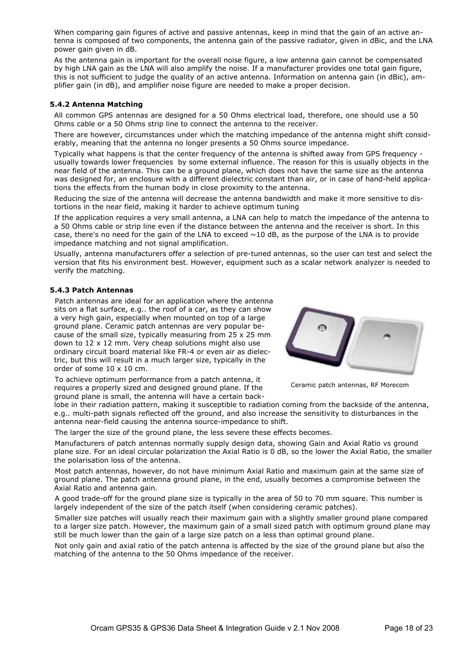When comparing gain figures of active and passive antennas, keep in mind that the gain of an active antenna is composed of two components, the antenna gain of the passive radiator, given in dBic, and the LNA power gain given in dB.

As the antenna gain is important for the overall noise figure, a low antenna gain cannot be compensated by high LNA gain as the LNA will also amplify the noise. If a manufacturer provides one total gain figure, this is not sufficient to judge the quality of an active antenna. Information on antenna gain (in dBic), amplifier gain (in dB), and amplifier noise figure are needed to make a proper decision.

#### **5.4.2 Antenna Matching**

All common GPS antennas are designed for a 50 Ohms electrical load, therefore, one should use a 50 Ohms cable or a 50 Ohms strip line to connect the antenna to the receiver.

There are however, circumstances under which the matching impedance of the antenna might shift considerably, meaning that the antenna no longer presents a 50 Ohms source impedance.

Typically what happens is that the center frequency of the antenna is shifted away from GPS frequency usually towards lower frequencies by some external influence. The reason for this is usually objects in the near field of the antenna. This can be a ground plane, which does not have the same size as the antenna was designed for, an enclosure with a different dielectric constant than air, or in case of hand-held applications the effects from the human body in close proximity to the antenna.

Reducing the size of the antenna will decrease the antenna bandwidth and make it more sensitive to distortions in the near field, making it harder to achieve optimum tuning

If the application requires a very small antenna, a LNA can help to match the impedance of the antenna to a 50 Ohms cable or strip line even if the distance between the antenna and the receiver is short. In this case, there's no need for the gain of the LNA to exceed  $\sim$ 10 dB, as the purpose of the LNA is to provide impedance matching and not signal amplification.

Usually, antenna manufacturers offer a selection of pre-tuned antennas, so the user can test and select the version that fits his environment best. However, equipment such as a scalar network analyzer is needed to verify the matching.

#### **5.4.3 Patch Antennas**

Patch antennas are ideal for an application where the antenna sits on a flat surface, e.g.. the roof of a car, as they can show a very high gain, especially when mounted on top of a large ground plane. Ceramic patch antennas are very popular because of the small size, typically measuring from 25 x 25 mm down to 12 x 12 mm. Very cheap solutions might also use ordinary circuit board material like FR-4 or even air as dielectric, but this will result in a much larger size, typically in the order of some 10 x 10 cm.

To achieve optimum performance from a patch antenna, it requires a properly sized and designed ground plane. If the ground plane is small, the antenna will have a certain back-



Ceramic patch antennas, RF Morecom

lobe in their radiation pattern, making it susceptible to radiation coming from the backside of the antenna, e.g.. multi-path signals reflected off the ground, and also increase the sensitivity to disturbances in the antenna near-field causing the antenna source-impedance to shift.

The larger the size of the ground plane, the less severe these effects becomes.

Manufacturers of patch antennas normally supply design data, showing Gain and Axial Ratio vs ground plane size. For an ideal circular polarization the Axial Ratio is 0 dB, so the lower the Axial Ratio, the smaller the polarisation loss of the antenna.

Most patch antennas, however, do not have minimum Axial Ratio and maximum gain at the same size of ground plane. The patch antenna ground plane, in the end, usually becomes a compromise between the Axial Ratio and antenna gain.

A good trade-off for the ground plane size is typically in the area of 50 to 70 mm square. This number is largely independent of the size of the patch itself (when considering ceramic patches).

Smaller size patches will usually reach their maximum gain with a slightly smaller ground plane compared to a larger size patch. However, the maximum gain of a small sized patch with optimum ground plane may still be much lower than the gain of a large size patch on a less than optimal ground plane.

Not only gain and axial ratio of the patch antenna is affected by the size of the ground plane but also the matching of the antenna to the 50 Ohms impedance of the receiver.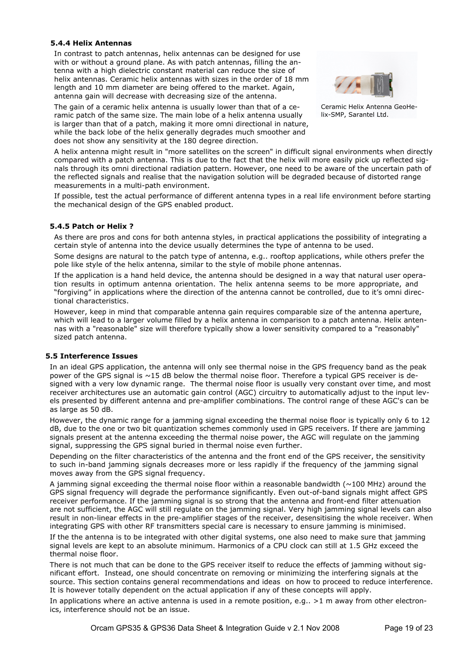#### **5.4.4 Helix Antennas**

In contrast to patch antennas, helix antennas can be designed for use with or without a ground plane. As with patch antennas, filling the antenna with a high dielectric constant material can reduce the size of helix antennas. Ceramic helix antennas with sizes in the order of 18 mm length and 10 mm diameter are being offered to the market. Again, antenna gain will decrease with decreasing size of the antenna.

The gain of a ceramic helix antenna is usually lower than that of a ceramic patch of the same size. The main lobe of a helix antenna usually is larger than that of a patch, making it more omni directional in nature, while the back lobe of the helix generally degrades much smoother and does not show any sensitivity at the 180 degree direction.



Ceramic Helix Antenna GeoHelix-SMP, Sarantel Ltd.

A helix antenna might result in "more satellites on the screen" in difficult signal environments when directly compared with a patch antenna. This is due to the fact that the helix will more easily pick up reflected signals through its omni directional radiation pattern. However, one need to be aware of the uncertain path of the reflected signals and realise that the navigation solution will be degraded because of distorted range measurements in a multi-path environment.

If possible, test the actual performance of different antenna types in a real life environment before starting the mechanical design of the GPS enabled product.

#### **5.4.5 Patch or Helix ?**

As there are pros and cons for both antenna styles, in practical applications the possibility of integrating a certain style of antenna into the device usually determines the type of antenna to be used.

Some designs are natural to the patch type of antenna, e.g.. rooftop applications, while others prefer the pole like style of the helix antenna, similar to the style of mobile phone antennas.

If the application is a hand held device, the antenna should be designed in a way that natural user operation results in optimum antenna orientation. The helix antenna seems to be more appropriate, and "forgiving" in applications where the direction of the antenna cannot be controlled, due to it's omni directional characteristics.

However, keep in mind that comparable antenna gain requires comparable size of the antenna aperture, which will lead to a larger volume filled by a helix antenna in comparison to a patch antenna. Helix antennas with a "reasonable" size will therefore typically show a lower sensitivity compared to a "reasonably" sized patch antenna.

#### **5.5 Interference Issues**

In an ideal GPS application, the antenna will only see thermal noise in the GPS frequency band as the peak power of the GPS signal is ~15 dB below the thermal noise floor. Therefore a typical GPS receiver is designed with a very low dynamic range. The thermal noise floor is usually very constant over time, and most receiver architectures use an automatic gain control (AGC) circuitry to automatically adjust to the input levels presented by different antenna and pre-amplifier combinations. The control range of these AGC's can be as large as 50 dB.

However, the dynamic range for a jamming signal exceeding the thermal noise floor is typically only 6 to 12 dB, due to the one or two bit quantization schemes commonly used in GPS receivers. If there are jamming signals present at the antenna exceeding the thermal noise power, the AGC will regulate on the jamming signal, suppressing the GPS signal buried in thermal noise even further.

Depending on the filter characteristics of the antenna and the front end of the GPS receiver, the sensitivity to such in-band jamming signals decreases more or less rapidly if the frequency of the jamming signal moves away from the GPS signal frequency.

A jamming signal exceeding the thermal noise floor within a reasonable bandwidth ( $\sim$ 100 MHz) around the GPS signal frequency will degrade the performance significantly. Even out-of-band signals might affect GPS receiver performance. If the jamming signal is so strong that the antenna and front-end filter attenuation are not sufficient, the AGC will still regulate on the jamming signal. Very high jamming signal levels can also result in non-linear effects in the pre-amplifier stages of the receiver, desensitising the whole receiver. When integrating GPS with other RF transmitters special care is necessary to ensure jamming is minimised.

If the the antenna is to be integrated with other digital systems, one also need to make sure that jamming signal levels are kept to an absolute minimum. Harmonics of a CPU clock can still at 1.5 GHz exceed the thermal noise floor.

There is not much that can be done to the GPS receiver itself to reduce the effects of jamming without significant effort. Instead, one should concentrate on removing or minimizing the interfering signals at the source. This section contains general recommendations and ideas on how to proceed to reduce interference. It is however totally dependent on the actual application if any of these concepts will apply.

In applications where an active antenna is used in a remote position, e.g.. >1 m away from other electronics, interference should not be an issue.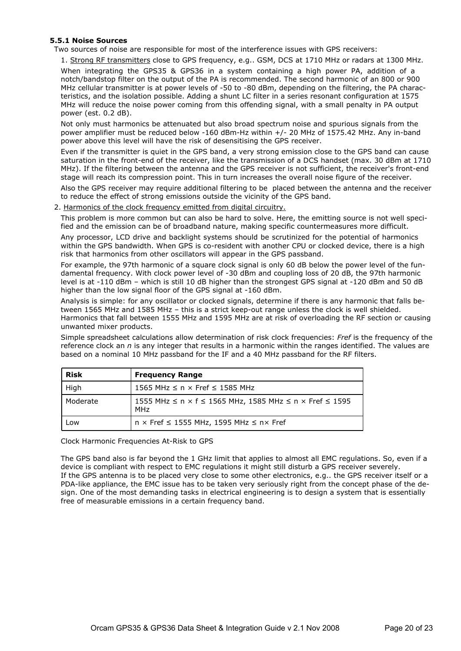#### **5.5.1 Noise Sources**

Two sources of noise are responsible for most of the interference issues with GPS receivers:

1. Strong RF transmitters close to GPS frequency, e.g.. GSM, DCS at 1710 MHz or radars at 1300 MHz.

When integrating the GPS35 & GPS36 in a system containing a high power PA, addition of a notch/bandstop filter on the output of the PA is recommended. The second harmonic of an 800 or 900 MHz cellular transmitter is at power levels of -50 to -80 dBm, depending on the filtering, the PA characteristics, and the isolation possible. Adding a shunt LC filter in a series resonant configuration at 1575 MHz will reduce the noise power coming from this offending signal, with a small penalty in PA output power (est. 0.2 dB).

Not only must harmonics be attenuated but also broad spectrum noise and spurious signals from the power amplifier must be reduced below -160 dBm-Hz within +/- 20 MHz of 1575.42 MHz. Any in-band power above this level will have the risk of desensitising the GPS receiver.

Even if the transmitter is quiet in the GPS band, a very strong emission close to the GPS band can cause saturation in the front-end of the receiver, like the transmission of a DCS handset (max. 30 dBm at 1710 MHz). If the filtering between the antenna and the GPS receiver is not sufficient, the receiver's front-end stage will reach its compression point. This in turn increases the overall noise figure of the receiver.

Also the GPS receiver may require additional filtering to be placed between the antenna and the receiver to reduce the effect of strong emissions outside the vicinity of the GPS band.

#### 2. Harmonics of the clock frequency emitted from digital circuitry.

This problem is more common but can also be hard to solve. Here, the emitting source is not well specified and the emission can be of broadband nature, making specific countermeasures more difficult.

Any processor, LCD drive and backlight systems should be scrutinized for the potential of harmonics within the GPS bandwidth. When GPS is co-resident with another CPU or clocked device, there is a high risk that harmonics from other oscillators will appear in the GPS passband.

For example, the 97th harmonic of a square clock signal is only 60 dB below the power level of the fundamental frequency. With clock power level of -30 dBm and coupling loss of 20 dB, the 97th harmonic level is at -110 dBm – which is still 10 dB higher than the strongest GPS signal at -120 dBm and 50 dB higher than the low signal floor of the GPS signal at -160 dBm.

Analysis is simple: for any oscillator or clocked signals, determine if there is any harmonic that falls between 1565 MHz and 1585 MHz – this is a strict keep-out range unless the clock is well shielded. Harmonics that fall between 1555 MHz and 1595 MHz are at risk of overloading the RF section or causing unwanted mixer products.

Simple spreadsheet calculations allow determination of risk clock frequencies: *Fref* is the frequency of the reference clock an *n* is any integer that results in a harmonic within the ranges identified. The values are based on a nominal 10 MHz passband for the IF and a 40 MHz passband for the RF filters.

| <b>Risk</b> | <b>Frequency Range</b>                                                                                       |
|-------------|--------------------------------------------------------------------------------------------------------------|
| High        | 1565 MHz $\leq$ n $\times$ Fref $\leq$ 1585 MHz                                                              |
| Moderate    | 1555 MHz $\leq$ n $\times$ f $\leq$ 1565 MHz, 1585 MHz $\leq$ n $\times$ Fref $\leq$ 1595<br>MH <sub>7</sub> |
| Low         | $n \times$ Fref $\leq$ 1555 MHz, 1595 MHz $\leq$ n $\times$ Fref                                             |

Clock Harmonic Frequencies At-Risk to GPS

The GPS band also is far beyond the 1 GHz limit that applies to almost all EMC regulations. So, even if a device is compliant with respect to EMC regulations it might still disturb a GPS receiver severely. If the GPS antenna is to be placed very close to some other electronics, e.g.. the GPS receiver itself or a PDA-like appliance, the EMC issue has to be taken very seriously right from the concept phase of the design. One of the most demanding tasks in electrical engineering is to design a system that is essentially free of measurable emissions in a certain frequency band.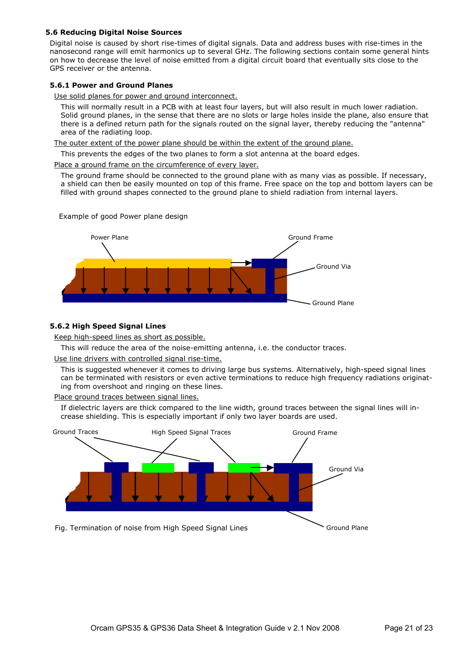#### **5.6 Reducing Digital Noise Sources**

Digital noise is caused by short rise-times of digital signals. Data and address buses with rise-times in the nanosecond range will emit harmonics up to several GHz. The following sections contain some general hints on how to decrease the level of noise emitted from a digital circuit board that eventually sits close to the GPS receiver or the antenna.

#### **5.6.1 Power and Ground Planes**

Use solid planes for power and ground interconnect.

This will normally result in a PCB with at least four layers, but will also result in much lower radiation. Solid ground planes, in the sense that there are no slots or large holes inside the plane, also ensure that there is a defined return path for the signals routed on the signal layer, thereby reducing the "antenna" area of the radiating loop.

The outer extent of the power plane should be within the extent of the ground plane.

This prevents the edges of the two planes to form a slot antenna at the board edges.

Place a ground frame on the circumference of every layer.

The ground frame should be connected to the ground plane with as many vias as possible. If necessary, a shield can then be easily mounted on top of this frame. Free space on the top and bottom layers can be filled with ground shapes connected to the ground plane to shield radiation from internal layers.



Example of good Power plane design

#### **5.6.2 High Speed Signal Lines**

Keep high-speed lines as short as possible.

This will reduce the area of the noise-emitting antenna, i.e. the conductor traces.

Use line drivers with controlled signal rise-time.

This is suggested whenever it comes to driving large bus systems. Alternatively, high-speed signal lines can be terminated with resistors or even active terminations to reduce high frequency radiations originating from overshoot and ringing on these lines.

Place ground traces between signal lines.

If dielectric layers are thick compared to the line width, ground traces between the signal lines will increase shielding. This is especially important if only two layer boards are used.

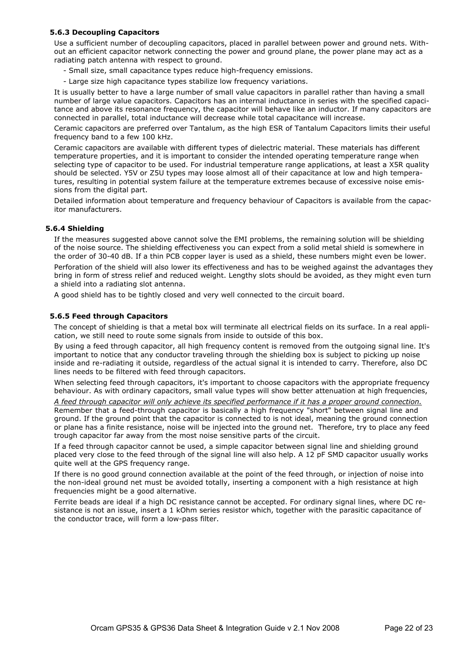#### **5.6.3 Decoupling Capacitors**

Use a sufficient number of decoupling capacitors, placed in parallel between power and ground nets. Without an efficient capacitor network connecting the power and ground plane, the power plane may act as a radiating patch antenna with respect to ground.

- Small size, small capacitance types reduce high-frequency emissions.
- Large size high capacitance types stabilize low frequency variations.

It is usually better to have a large number of small value capacitors in parallel rather than having a small number of large value capacitors. Capacitors has an internal inductance in series with the specified capacitance and above its resonance frequency, the capacitor will behave like an inductor. If many capacitors are connected in parallel, total inductance will decrease while total capacitance will increase.

Ceramic capacitors are preferred over Tantalum, as the high ESR of Tantalum Capacitors limits their useful frequency band to a few 100 kHz.

Ceramic capacitors are available with different types of dielectric material. These materials has different temperature properties, and it is important to consider the intended operating temperature range when selecting type of capacitor to be used. For industrial temperature range applications, at least a X5R quality should be selected. Y5V or Z5U types may loose almost all of their capacitance at low and high temperatures, resulting in potential system failure at the temperature extremes because of excessive noise emissions from the digital part.

Detailed information about temperature and frequency behaviour of Capacitors is available from the capacitor manufacturers.

#### **5.6.4 Shielding**

If the measures suggested above cannot solve the EMI problems, the remaining solution will be shielding of the noise source. The shielding effectiveness you can expect from a solid metal shield is somewhere in the order of 30-40 dB. If a thin PCB copper layer is used as a shield, these numbers might even be lower.

Perforation of the shield will also lower its effectiveness and has to be weighed against the advantages they bring in form of stress relief and reduced weight. Lengthy slots should be avoided, as they might even turn a shield into a radiating slot antenna.

A good shield has to be tightly closed and very well connected to the circuit board.

#### **5.6.5 Feed through Capacitors**

The concept of shielding is that a metal box will terminate all electrical fields on its surface. In a real application, we still need to route some signals from inside to outside of this box.

By using a feed through capacitor, all high frequency content is removed from the outgoing signal line. It's important to notice that any conductor traveling through the shielding box is subject to picking up noise inside and re-radiating it outside, regardless of the actual signal it is intended to carry. Therefore, also DC lines needs to be filtered with feed through capacitors.

When selecting feed through capacitors, it's important to choose capacitors with the appropriate frequency behaviour. As with ordinary capacitors, small value types will show better attenuation at high frequencies,

*A feed through capacitor will only achieve its specified performance if it has a proper ground connection.*

Remember that a feed-through capacitor is basically a high frequency "short" between signal line and ground. If the ground point that the capacitor is connected to is not ideal, meaning the ground connection or plane has a finite resistance, noise will be injected into the ground net. Therefore, try to place any feed trough capacitor far away from the most noise sensitive parts of the circuit.

If a feed through capacitor cannot be used, a simple capacitor between signal line and shielding ground placed very close to the feed through of the signal line will also help. A 12 pF SMD capacitor usually works quite well at the GPS frequency range.

If there is no good ground connection available at the point of the feed through, or injection of noise into the non-ideal ground net must be avoided totally, inserting a component with a high resistance at high frequencies might be a good alternative.

Ferrite beads are ideal if a high DC resistance cannot be accepted. For ordinary signal lines, where DC resistance is not an issue, insert a 1 kOhm series resistor which, together with the parasitic capacitance of the conductor trace, will form a low-pass filter.